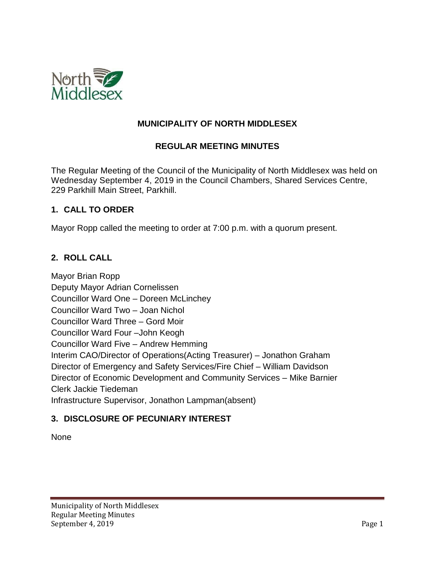

### **MUNICIPALITY OF NORTH MIDDLESEX**

### **REGULAR MEETING MINUTES**

The Regular Meeting of the Council of the Municipality of North Middlesex was held on Wednesday September 4, 2019 in the Council Chambers, Shared Services Centre, 229 Parkhill Main Street, Parkhill.

#### **1. CALL TO ORDER**

Mayor Ropp called the meeting to order at 7:00 p.m. with a quorum present.

### **2. ROLL CALL**

Mayor Brian Ropp Deputy Mayor Adrian Cornelissen Councillor Ward One – Doreen McLinchey Councillor Ward Two – Joan Nichol Councillor Ward Three – Gord Moir Councillor Ward Four –John Keogh Councillor Ward Five – Andrew Hemming Interim CAO/Director of Operations(Acting Treasurer) – Jonathon Graham Director of Emergency and Safety Services/Fire Chief – William Davidson Director of Economic Development and Community Services – Mike Barnier Clerk Jackie Tiedeman Infrastructure Supervisor, Jonathon Lampman(absent)

### **3. DISCLOSURE OF PECUNIARY INTEREST**

None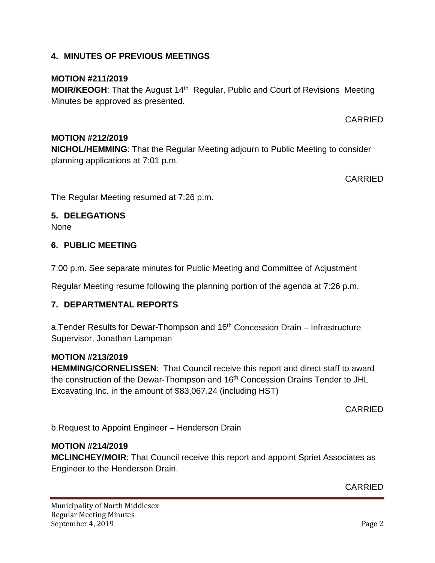### **4. MINUTES OF PREVIOUS MEETINGS**

### **MOTION #211/2019**

**MOIR/KEOGH:** That the August 14<sup>th</sup> Regular, Public and Court of Revisions Meeting Minutes be approved as presented.

CARRIED

# **MOTION #212/2019**

**NICHOL/HEMMING**: That the Regular Meeting adjourn to Public Meeting to consider planning applications at 7:01 p.m.

CARRIED

The Regular Meeting resumed at 7:26 p.m.

### **5. DELEGATIONS**

None

### **6. PUBLIC MEETING**

7:00 p.m. See separate minutes for Public Meeting and Committee of Adjustment

Regular Meeting resume following the planning portion of the agenda at 7:26 p.m.

### **7. DEPARTMENTAL REPORTS**

a. Tender Results for Dewar-Thompson and  $16<sup>th</sup>$  Concession Drain – Infrastructure Supervisor, Jonathan Lampman

### **MOTION #213/2019**

**HEMMING/CORNELISSEN**: That Council receive this report and direct staff to award the construction of the Dewar-Thompson and 16<sup>th</sup> Concession Drains Tender to JHL Excavating Inc. in the amount of \$83,067.24 (including HST)

CARRIED

b.Request to Appoint Engineer – Henderson Drain

### **MOTION #214/2019**

**MCLINCHEY/MOIR**: That Council receive this report and appoint Spriet Associates as Engineer to the Henderson Drain.

CARRIED

Municipality of North Middlesex Regular Meeting Minutes September 4, 2019 Page 2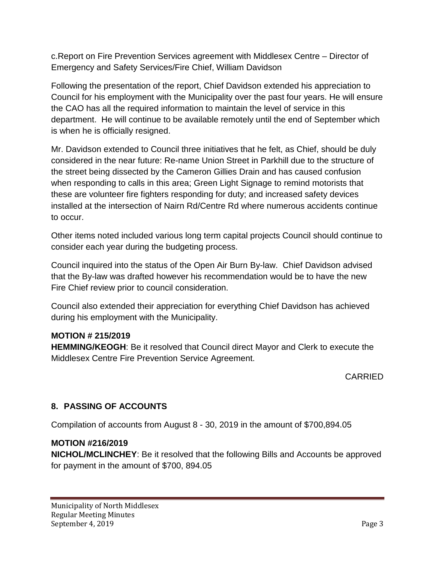c.Report on Fire Prevention Services agreement with Middlesex Centre – Director of Emergency and Safety Services/Fire Chief, William Davidson

Following the presentation of the report, Chief Davidson extended his appreciation to Council for his employment with the Municipality over the past four years. He will ensure the CAO has all the required information to maintain the level of service in this department. He will continue to be available remotely until the end of September which is when he is officially resigned.

Mr. Davidson extended to Council three initiatives that he felt, as Chief, should be duly considered in the near future: Re-name Union Street in Parkhill due to the structure of the street being dissected by the Cameron Gillies Drain and has caused confusion when responding to calls in this area; Green Light Signage to remind motorists that these are volunteer fire fighters responding for duty; and increased safety devices installed at the intersection of Nairn Rd/Centre Rd where numerous accidents continue to occur.

Other items noted included various long term capital projects Council should continue to consider each year during the budgeting process.

Council inquired into the status of the Open Air Burn By-law. Chief Davidson advised that the By-law was drafted however his recommendation would be to have the new Fire Chief review prior to council consideration.

Council also extended their appreciation for everything Chief Davidson has achieved during his employment with the Municipality.

# **MOTION # 215/2019**

**HEMMING/KEOGH**: Be it resolved that Council direct Mayor and Clerk to execute the Middlesex Centre Fire Prevention Service Agreement.

# CARRIED

# **8. PASSING OF ACCOUNTS**

Compilation of accounts from August 8 - 30, 2019 in the amount of \$700,894.05

# **MOTION #216/2019**

**NICHOL/MCLINCHEY**: Be it resolved that the following Bills and Accounts be approved for payment in the amount of \$700, 894.05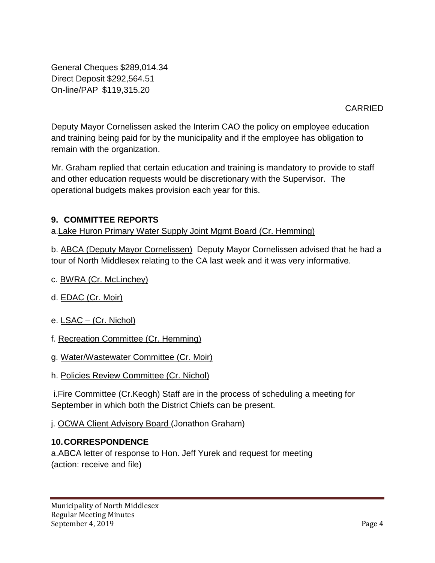General Cheques \$289,014.34 Direct Deposit \$292,564.51 On-line/PAP \$119,315.20

CARRIED

Deputy Mayor Cornelissen asked the Interim CAO the policy on employee education and training being paid for by the municipality and if the employee has obligation to remain with the organization.

Mr. Graham replied that certain education and training is mandatory to provide to staff and other education requests would be discretionary with the Supervisor. The operational budgets makes provision each year for this.

# **9. COMMITTEE REPORTS**

a.Lake Huron Primary Water Supply Joint Mgmt Board (Cr. Hemming)

b. ABCA (Deputy Mayor Cornelissen) Deputy Mayor Cornelissen advised that he had a tour of North Middlesex relating to the CA last week and it was very informative.

- c. BWRA (Cr. McLinchey)
- d. EDAC (Cr. Moir)
- e. LSAC (Cr. Nichol)
- f. Recreation Committee (Cr. Hemming)
- g. Water/Wastewater Committee (Cr. Moir)
- h. Policies Review Committee (Cr. Nichol)

i. Fire Committee (Cr. Keogh) Staff are in the process of scheduling a meeting for September in which both the District Chiefs can be present.

j. OCWA Client Advisory Board (Jonathon Graham)

### **10.CORRESPONDENCE**

a.ABCA letter of response to Hon. Jeff Yurek and request for meeting (action: receive and file)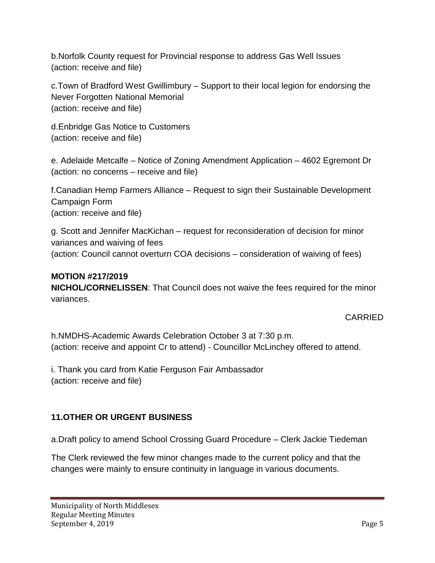b.Norfolk County request for Provincial response to address Gas Well Issues (action: receive and file)

c.Town of Bradford West Gwillimbury – Support to their local legion for endorsing the Never Forgotten National Memorial (action: receive and file)

d.Enbridge Gas Notice to Customers (action: receive and file)

e. Adelaide Metcalfe – Notice of Zoning Amendment Application – 4602 Egremont Dr (action: no concerns – receive and file)

f.Canadian Hemp Farmers Alliance – Request to sign their Sustainable Development Campaign Form (action: receive and file)

g. Scott and Jennifer MacKichan – request for reconsideration of decision for minor variances and waiving of fees (action: Council cannot overturn COA decisions – consideration of waiving of fees)

# **MOTION #217/2019**

**NICHOL/CORNELISSEN**: That Council does not waive the fees required for the minor variances.

### CARRIED

h.NMDHS-Academic Awards Celebration October 3 at 7:30 p.m. (action: receive and appoint Cr to attend) - Councillor McLinchey offered to attend.

i. Thank you card from Katie Ferguson Fair Ambassador (action: receive and file)

# **11.OTHER OR URGENT BUSINESS**

a.Draft policy to amend School Crossing Guard Procedure – Clerk Jackie Tiedeman

The Clerk reviewed the few minor changes made to the current policy and that the changes were mainly to ensure continuity in language in various documents.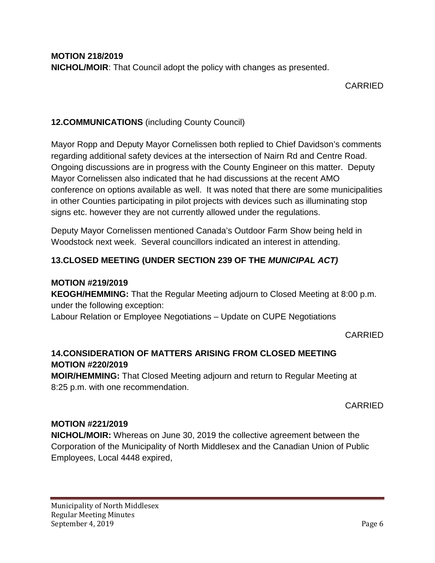### CARRIED

# **12.COMMUNICATIONS** (including County Council)

Mayor Ropp and Deputy Mayor Cornelissen both replied to Chief Davidson's comments regarding additional safety devices at the intersection of Nairn Rd and Centre Road. Ongoing discussions are in progress with the County Engineer on this matter. Deputy Mayor Cornelissen also indicated that he had discussions at the recent AMO conference on options available as well. It was noted that there are some municipalities in other Counties participating in pilot projects with devices such as illuminating stop signs etc. however they are not currently allowed under the regulations.

Deputy Mayor Cornelissen mentioned Canada's Outdoor Farm Show being held in Woodstock next week. Several councillors indicated an interest in attending.

# **13.CLOSED MEETING (UNDER SECTION 239 OF THE** *MUNICIPAL ACT)*

#### **MOTION #219/2019**

**KEOGH/HEMMING:** That the Regular Meeting adjourn to Closed Meeting at 8:00 p.m. under the following exception:

Labour Relation or Employee Negotiations – Update on CUPE Negotiations

CARRIED

# **14.CONSIDERATION OF MATTERS ARISING FROM CLOSED MEETING MOTION #220/2019**

**MOIR/HEMMING:** That Closed Meeting adjourn and return to Regular Meeting at 8:25 p.m. with one recommendation.

CARRIED

### **MOTION #221/2019**

**NICHOL/MOIR:** Whereas on June 30, 2019 the collective agreement between the Corporation of the Municipality of North Middlesex and the Canadian Union of Public Employees, Local 4448 expired,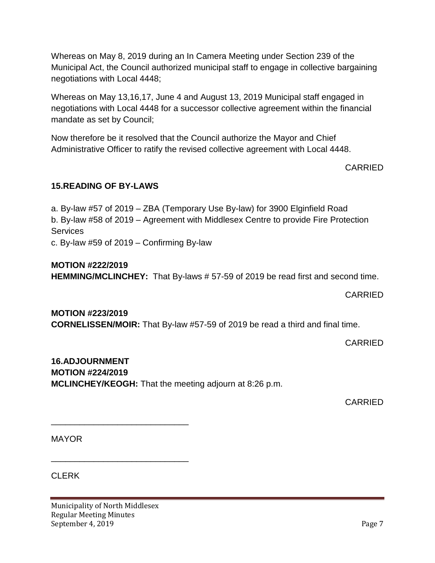Whereas on May 8, 2019 during an In Camera Meeting under Section 239 of the Municipal Act, the Council authorized municipal staff to engage in collective bargaining negotiations with Local 4448;

Whereas on May 13,16,17, June 4 and August 13, 2019 Municipal staff engaged in negotiations with Local 4448 for a successor collective agreement within the financial mandate as set by Council;

Now therefore be it resolved that the Council authorize the Mayor and Chief Administrative Officer to ratify the revised collective agreement with Local 4448.

### CARRIED

### **15.READING OF BY-LAWS**

a. By-law #57 of 2019 – ZBA (Temporary Use By-law) for 3900 Elginfield Road b. By-law #58 of 2019 – Agreement with Middlesex Centre to provide Fire Protection **Services** c. By-law #59 of 2019 – Confirming By-law

#### **MOTION #222/2019**

**HEMMING/MCLINCHEY:** That By-laws # 57-59 of 2019 be read first and second time.

#### CARRIED

**MOTION #223/2019 CORNELISSEN/MOIR:** That By-law #57-59 of 2019 be read a third and final time.

CARRIED

# **16.ADJOURNMENT MOTION #224/2019 MCLINCHEY/KEOGH:** That the meeting adjourn at 8:26 p.m.

CARRIED

MAYOR

CLERK

Municipality of North Middlesex Regular Meeting Minutes September 4, 2019 Page 7

\_\_\_\_\_\_\_\_\_\_\_\_\_\_\_\_\_\_\_\_\_\_\_\_\_\_\_\_\_

\_\_\_\_\_\_\_\_\_\_\_\_\_\_\_\_\_\_\_\_\_\_\_\_\_\_\_\_\_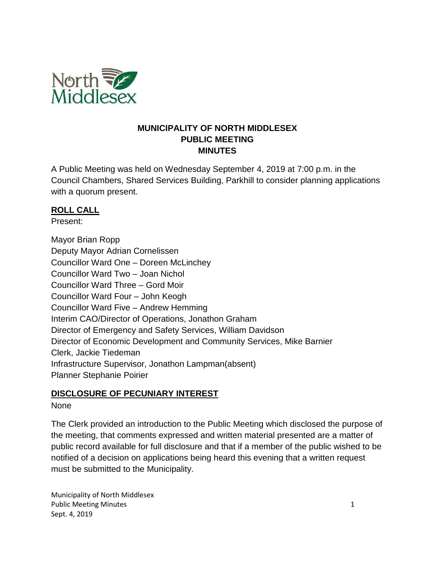

#### **MUNICIPALITY OF NORTH MIDDLESEX PUBLIC MEETING MINUTES**

A Public Meeting was held on Wednesday September 4, 2019 at 7:00 p.m. in the Council Chambers, Shared Services Building, Parkhill to consider planning applications with a quorum present.

### **ROLL CALL**

Present:

Mayor Brian Ropp Deputy Mayor Adrian Cornelissen Councillor Ward One – Doreen McLinchey Councillor Ward Two – Joan Nichol Councillor Ward Three – Gord Moir Councillor Ward Four – John Keogh Councillor Ward Five – Andrew Hemming Interim CAO/Director of Operations, Jonathon Graham Director of Emergency and Safety Services, William Davidson Director of Economic Development and Community Services, Mike Barnier Clerk, Jackie Tiedeman Infrastructure Supervisor, Jonathon Lampman(absent) Planner Stephanie Poirier

### **DISCLOSURE OF PECUNIARY INTEREST**

### None

The Clerk provided an introduction to the Public Meeting which disclosed the purpose of the meeting, that comments expressed and written material presented are a matter of public record available for full disclosure and that if a member of the public wished to be notified of a decision on applications being heard this evening that a written request must be submitted to the Municipality.

Municipality of North Middlesex Public Meeting Minutes 1 and 1 and 1 and 1 and 1 and 1 and 1 and 1 and 1 and 1 and 1 and 1 and 1 and 1 and 1 and 1 and 1 and 1 and 1 and 1 and 1 and 1 and 1 and 1 and 1 and 1 and 1 and 1 and 1 and 1 and 1 and 1 and 1 and 1 Sept. 4, 2019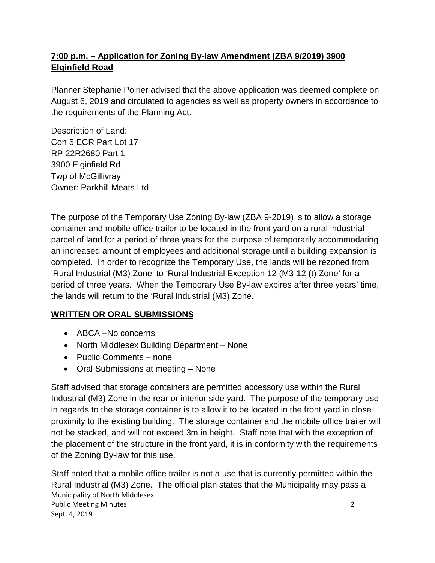# **7:00 p.m. – Application for Zoning By-law Amendment (ZBA 9/2019) 3900 Elginfield Road**

Planner Stephanie Poirier advised that the above application was deemed complete on August 6, 2019 and circulated to agencies as well as property owners in accordance to the requirements of the Planning Act.

Description of Land: Con 5 ECR Part Lot 17 RP 22R2680 Part 1 3900 Elginfield Rd Twp of McGillivray Owner: Parkhill Meats Ltd

The purpose of the Temporary Use Zoning By-law (ZBA 9-2019) is to allow a storage container and mobile office trailer to be located in the front yard on a rural industrial parcel of land for a period of three years for the purpose of temporarily accommodating an increased amount of employees and additional storage until a building expansion is completed. In order to recognize the Temporary Use, the lands will be rezoned from 'Rural Industrial (M3) Zone' to 'Rural Industrial Exception 12 (M3-12 (t) Zone' for a period of three years. When the Temporary Use By-law expires after three years' time, the lands will return to the 'Rural Industrial (M3) Zone.

# **WRITTEN OR ORAL SUBMISSIONS**

- ABCA –No concerns
- North Middlesex Building Department None
- Public Comments none
- Oral Submissions at meeting None

Staff advised that storage containers are permitted accessory use within the Rural Industrial (M3) Zone in the rear or interior side yard. The purpose of the temporary use in regards to the storage container is to allow it to be located in the front yard in close proximity to the existing building. The storage container and the mobile office trailer will not be stacked, and will not exceed 3m in height. Staff note that with the exception of the placement of the structure in the front yard, it is in conformity with the requirements of the Zoning By-law for this use.

Municipality of North Middlesex Public Meeting Minutes 2 Sept. 4, 2019 Staff noted that a mobile office trailer is not a use that is currently permitted within the Rural Industrial (M3) Zone. The official plan states that the Municipality may pass a